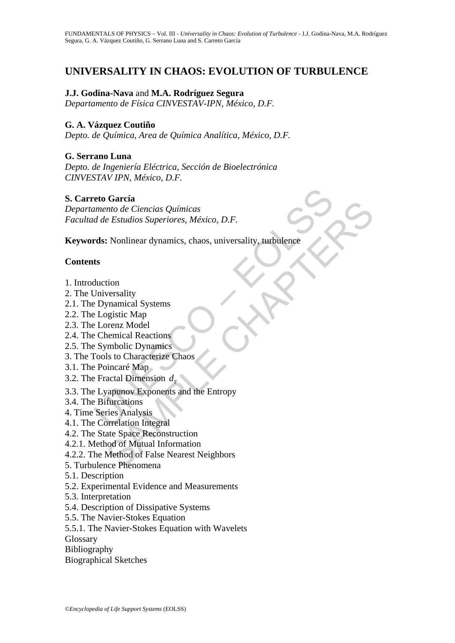# **UNIVERSALITY IN CHAOS: EVOLUTION OF TURBULENCE**

# **J.J. Godina-Nava** and **M.A. Rodríguez Segura**

*Departamento de Física CINVESTAV-IPN, México, D.F.* 

### **G. A. Vázquez Coutiño**

*Depto. de Química, Area de Química Analítica, México, D.F.* 

### **G. Serrano Luna**

*Depto. de Ingeniería Eléctrica, Sección de Bioelectrónica CINVESTAV IPN, México, D.F.* 

### **S. Carreto García**

reto García<br>
umento de Ciencias Químicas<br>
d de Estudios Superiores, México, D.F.<br>
rds: Nonlinear dynamics, chaos, universality, turbulence<br>
ts<br>
ts<br>
ts<br>
Unction<br>
Diviersality<br>
Dynamical Systems<br>
Logistic Map<br>
Chemical React Sacramento de Ciencias Químicas<br>
e Estudios Superiores, México, D.F.<br>
2. Nonlinear dynamics, chaos, universality, turbulence<br>
Stromannical Systems<br>
Stromannical Systems<br>
Stromannical Reactions<br>
Stromannical Reactions<br>
Str *Departamento de Ciencias Químicas Facultad de Estudios Superiores, México, D.F.* 

**Keywords:** Nonlinear dynamics, chaos, universality, turbulence

### **Contents**

- 1. Introduction
- 2. The Universality
- 2.1. The Dynamical Systems
- 2.2. The Logistic Map
- 2.3. The Lorenz Model
- 2.4. The Chemical Reactions
- 2.5. The Symbolic Dynamics
- 3. The Tools to Characterize Chaos
- 3.1. The Poincaré Map
- 3.2. The Fractal Dimension  $d_{\text{F}}$
- 3.3. The Lyapunov Exponents and the Entropy
- 3.4. The Bifurcations
- 4. Time Series Analysis
- 4.1. The Correlation Integral
- 4.2. The State Space Reconstruction
- 4.2.1. Method of Mutual Information
- 4.2.2. The Method of False Nearest Neighbors
- 5. Turbulence Phenomena
- 5.1. Description
- 5.2. Experimental Evidence and Measurements
- 5.3. Interpretation
- 5.4. Description of Dissipative Systems
- 5.5. The Navier-Stokes Equation
- 5.5.1. The Navier-Stokes Equation with Wavelets
- Glossary
- Bibliography
- Biographical Sketches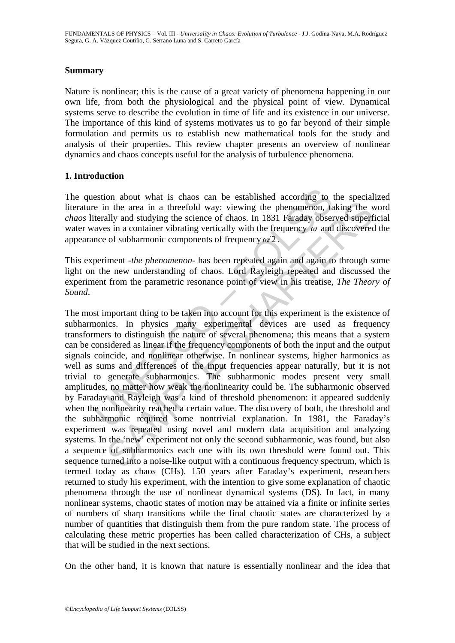### **Summary**

Nature is nonlinear; this is the cause of a great variety of phenomena happening in our own life, from both the physiological and the physical point of view. Dynamical systems serve to describe the evolution in time of life and its existence in our universe. The importance of this kind of systems motivates us to go far beyond of their simple formulation and permits us to establish new mathematical tools for the study and analysis of their properties. This review chapter presents an overview of nonlinear dynamics and chaos concepts useful for the analysis of turbulence phenomena.

### **1. Introduction**

The question about what is chaos can be established according to the specialized literature in the area in a threefold way: viewing the phenomenon, taking the word *chaos* literally and studying the science of chaos. In 1831 Faraday observed superficial water waves in a container vibrating vertically with the frequency  $\omega$  and discovered the appearance of subharmonic components of frequency  $\omega/2$ .

This experiment -*the phenomenon*- has been repeated again and again to through some light on the new understanding of chaos. Lord Rayleigh repeated and discussed the experiment from the parametric resonance point of view in his treatise, *The Theory of Sound*.

estion about what is chaos can be established according to the in the area in a threefold way: viewing the phenomenon, taterally and studying the science of chaos. In 1831 Faraday observates in a container vibrating verti in the area in a threefold way: viewing the phenomenon, taking the will ally and studying the science of chaos. In 1831 Faraday observed superfies in a container vibrating vertically with the frequency  $\omega$  and discovered The most important thing to be taken into account for this experiment is the existence of subharmonics. In physics many experimental devices are used as frequency transformers to distinguish the nature of several phenomena; this means that a system can be considered as linear if the frequency components of both the input and the output signals coincide, and nonlinear otherwise. In nonlinear systems, higher harmonics as well as sums and differences of the input frequencies appear naturally, but it is not trivial to generate subharmonics. The subharmonic modes present very small amplitudes, no matter how weak the nonlinearity could be. The subharmonic observed by Faraday and Rayleigh was a kind of threshold phenomenon: it appeared suddenly when the nonlinearity reached a certain value. The discovery of both, the threshold and the subharmonic required some nontrivial explanation. In 1981, the Faraday's experiment was repeated using novel and modern data acquisition and analyzing systems. In the 'new' experiment not only the second subharmonic, was found, but also a sequence of subharmonics each one with its own threshold were found out. This sequence turned into a noise-like output with a continuous frequency spectrum, which is termed today as chaos (CHs). 150 years after Faraday's experiment, researchers returned to study his experiment, with the intention to give some explanation of chaotic phenomena through the use of nonlinear dynamical systems (DS). In fact, in many nonlinear systems, chaotic states of motion may be attained via a finite or infinite series of numbers of sharp transitions while the final chaotic states are characterized by a number of quantities that distinguish them from the pure random state. The process of calculating these metric properties has been called characterization of CHs, a subject that will be studied in the next sections.

On the other hand, it is known that nature is essentially nonlinear and the idea that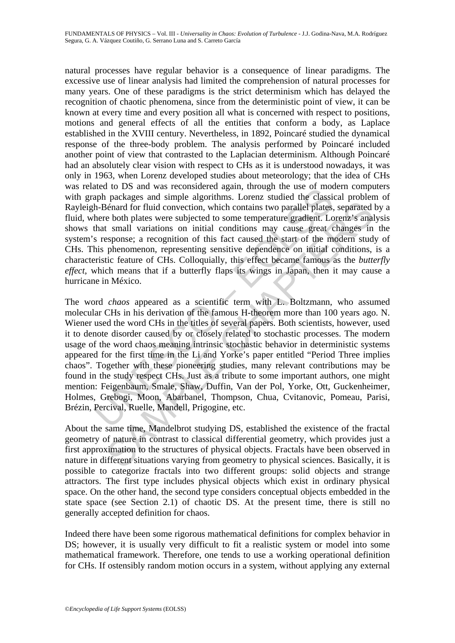natural processes have regular behavior is a consequence of linear paradigms. The excessive use of linear analysis had limited the comprehension of natural processes for many years. One of these paradigms is the strict determinism which has delayed the recognition of chaotic phenomena, since from the deterministic point of view, it can be known at every time and every position all what is concerned with respect to positions, motions and general effects of all the entities that conform a body, as Laplace established in the XVIII century. Nevertheless, in 1892, Poincaré studied the dynamical response of the three-body problem. The analysis performed by Poincaré included another point of view that contrasted to the Laplacian determinism. Although Poincaré had an absolutely clear vision with respect to CHs as it is understood nowadays, it was only in 1963, when Lorenz developed studies about meteorology; that the idea of CHs was related to DS and was reconsidered again, through the use of modern computers with graph packages and simple algorithms. Lorenz studied the classical problem of Rayleigh-Bénard for fluid convection, which contains two parallel plates, separated by a fluid, where both plates were subjected to some temperature gradient. Lorenz's analysis shows that small variations on initial conditions may cause great changes in the system's response; a recognition of this fact caused the start of the modern study of CHs. This phenomenon, representing sensitive dependence on initial conditions, is a characteristic feature of CHs. Colloquially, this effect became famous as the *butterfly effect*, which means that if a butterfly flaps its wings in Japan, then it may cause a hurricane in México.

and was reconsident again, unough the use of model<br>apply packages and simple algorithms. Lorenz studied the classical<br>h-Bénard for fluid convection, which contains two parallel plates,<br>here both plates were subjected to so France for fluid convection, which contains two parallel plates, separated be both plates were subjected to some temperature gradient. Lorenz's anal variantions in this cluster and the small variantions in the small varian The word *chaos* appeared as a scientific term with L. Boltzmann, who assumed molecular CHs in his derivation of the famous H-theorem more than 100 years ago. N. Wiener used the word CHs in the titles of several papers. Both scientists, however, used it to denote disorder caused by or closely related to stochastic processes. The modern usage of the word chaos meaning intrinsic stochastic behavior in deterministic systems appeared for the first time in the Li and Yorke's paper entitled "Period Three implies chaos". Together with these pioneering studies, many relevant contributions may be found in the study respect CHs. Just as a tribute to some important authors, one might mention: Feigenbaum, Smale, Shaw, Duffin, Van der Pol, Yorke, Ott, Guckenheimer, Holmes, Grebogi, Moon, Abarbanel, Thompson, Chua, Cvitanovic, Pomeau, Parisi, Brézin, Percival, Ruelle, Mandell, Prigogine, etc.

About the same time, Mandelbrot studying DS, established the existence of the fractal geometry of nature in contrast to classical differential geometry, which provides just a first approximation to the structures of physical objects. Fractals have been observed in nature in different situations varying from geometry to physical sciences. Basically, it is possible to categorize fractals into two different groups: solid objects and strange attractors. The first type includes physical objects which exist in ordinary physical space. On the other hand, the second type considers conceptual objects embedded in the state space (see Section 2.1) of chaotic DS. At the present time, there is still no generally accepted definition for chaos.

Indeed there have been some rigorous mathematical definitions for complex behavior in DS; however, it is usually very difficult to fit a realistic system or model into some mathematical framework. Therefore, one tends to use a working operational definition for CHs. If ostensibly random motion occurs in a system, without applying any external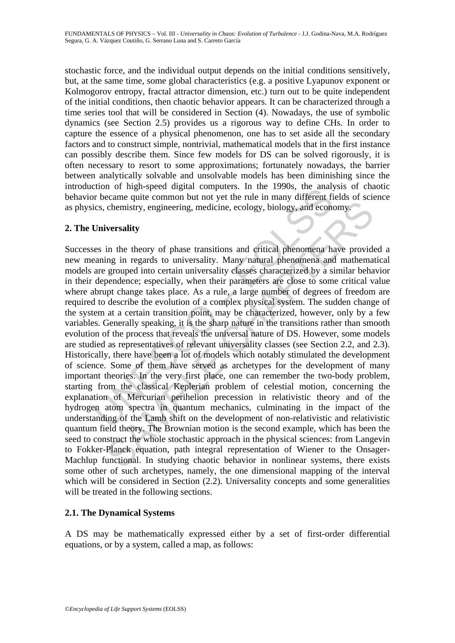stochastic force, and the individual output depends on the initial conditions sensitively, but, at the same time, some global characteristics (e.g. a positive Lyapunov exponent or Kolmogorov entropy, fractal attractor dimension, etc.) turn out to be quite independent of the initial conditions, then chaotic behavior appears. It can be characterized through a time series tool that will be considered in Section (4). Nowadays, the use of symbolic dynamics (see Section 2.5) provides us a rigorous way to define CHs. In order to capture the essence of a physical phenomenon, one has to set aside all the secondary factors and to construct simple, nontrivial, mathematical models that in the first instance can possibly describe them. Since few models for DS can be solved rigorously, it is often necessary to resort to some approximations; fortunately nowadays, the barrier between analytically solvable and unsolvable models has been diminishing since the introduction of high-speed digital computers. In the 1990s, the analysis of chaotic behavior became quite common but not yet the rule in many different fields of science as physics, chemistry, engineering, medicine, ecology, biology, and economy.

# **2. The Universality**

Transmittering in the transmission in the transmission of the reader of the reader of the came quite common but not yet the rule in many different fice, chemistry, engineering, medicine, ecology, biology, and econdicines, chemistry, engineering, medicine, ecology, biology, and economy.<br>
versality<br>
in the theory of phase transitions and critical phenomena have provide<br>
ing in regards to universality. Many natural phenomena and mathema<br>
group Successes in the theory of phase transitions and critical phenomena have provided a new meaning in regards to universality. Many natural phenomena and mathematical models are grouped into certain universality classes characterized by a similar behavior in their dependence; especially, when their parameters are close to some critical value where abrupt change takes place. As a rule, a large number of degrees of freedom are required to describe the evolution of a complex physical system. The sudden change of the system at a certain transition point, may be characterized, however, only by a few variables. Generally speaking, it is the sharp nature in the transitions rather than smooth evolution of the process that reveals the universal nature of DS. However, some models are studied as representatives of relevant universality classes (see Section 2.2, and 2.3). Historically, there have been a lot of models which notably stimulated the development of science. Some of them have served as archetypes for the development of many important theories. In the very first place, one can remember the two-body problem, starting from the classical Keplerian problem of celestial motion, concerning the explanation of Mercurian perihelion precession in relativistic theory and of the hydrogen atom spectra in quantum mechanics, culminating in the impact of the understanding of the Lamb shift on the development of non-relativistic and relativistic quantum field theory. The Brownian motion is the second example, which has been the seed to construct the whole stochastic approach in the physical sciences: from Langevin to Fokker-Planck equation, path integral representation of Wiener to the Onsager-Machlup functional. In studying chaotic behavior in nonlinear systems, there exists some other of such archetypes, namely, the one dimensional mapping of the interval which will be considered in Section (2.2). Universality concepts and some generalities will be treated in the following sections.

# **2.1. The Dynamical Systems**

A DS may be mathematically expressed either by a set of first-order differential equations, or by a system, called a map, as follows: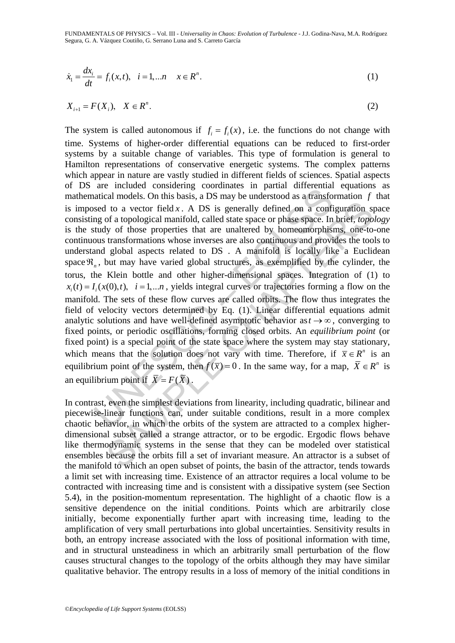FUNDAMENTALS OF PHYSICS – Vol. III - *Universality in Chaos: Evolution of Turbulence* - J.J. Godina-Nava, M.A. Rodríguez Segura, G. A. Vázquez Coutiño, G. Serrano Luna and S. Carreto García

$$
\dot{x}_1 = \frac{dx_i}{dt} = f_i(x, t), \quad i = 1, \dots n \quad x \in \mathbb{R}^n.
$$
 (1)

$$
X_{i+1} = F(X_i), \quad X \in \mathbb{R}^n. \tag{2}
$$

are in tentated consistently coordinates in parameterinal anticolation models. On this basis, a DS may be understood as a transformation seed to a vector field x. A DS is generally defined on a confing of a topological ma I to a vector field x. A DS is generally defined on a configuration sp<br>of a topological manifold, called state space or phase space. In brief, *topo*<br>of a topological manifold, called state space or phase space. In brief, The system is called autonomous if  $f_i = f_i(x)$ , i.e. the functions do not change with time. Systems of higher-order differential equations can be reduced to first-order systems by a suitable change of variables. This type of formulation is general to Hamilton representations of conservative energetic systems. The complex patterns which appear in nature are vastly studied in different fields of sciences. Spatial aspects of DS are included considering coordinates in partial differential equations as mathematical models. On this basis, a DS may be understood as a transformation *f* that is imposed to a vector field  $x$ . A DS is generally defined on a configuration space consisting of a topological manifold, called state space or phase space. In brief, *topology* is the study of those properties that are unaltered by homeomorphisms, one-to-one continuous transformations whose inverses are also continuous and provides the tools to understand global aspects related to DS . A manifold is locally like a Euclidean space  $\mathfrak{R}_n$ , but may have varied global structures, as exemplified by the cylinder, the torus, the Klein bottle and other higher-dimensional spaces. Integration of (1) to  $x_i(t) = I_i(x(0), t)$ ,  $i = 1,...n$ , yields integral curves or trajectories forming a flow on the manifold. The sets of these flow curves are called orbits. The flow thus integrates the field of velocity vectors determined by Eq. (1). Linear differential equations admit analytic solutions and have well-defined asymptotic behavior as  $t \to \infty$ , converging to fixed points, or periodic oscillations, forming closed orbits. An *equilibrium point* (or fixed point) is a special point of the state space where the system may stay stationary, which means that the solution does not vary with time. Therefore, if  $\bar{x} \in R^n$  is an equilibrium point of the system, then  $f(\overline{x}) = 0$ . In the same way, for a map,  $\overline{X} \in \mathbb{R}^n$  is an equilibrium point if  $\overline{X} = F(\overline{X})$ .

In contrast, even the simplest deviations from linearity, including quadratic, bilinear and piecewise-linear functions can, under suitable conditions, result in a more complex chaotic behavior, in which the orbits of the system are attracted to a complex higherdimensional subset called a strange attractor, or to be ergodic. Ergodic flows behave like thermodynamic systems in the sense that they can be modeled over statistical ensembles because the orbits fill a set of invariant measure. An attractor is a subset of the manifold to which an open subset of points, the basin of the attractor, tends towards a limit set with increasing time. Existence of an attractor requires a local volume to be contracted with increasing time and is consistent with a dissipative system (see Section 5.4), in the position-momentum representation. The highlight of a chaotic flow is a sensitive dependence on the initial conditions. Points which are arbitrarily close initially, become exponentially further apart with increasing time, leading to the amplification of very small perturbations into global uncertainties. Sensitivity results in both, an entropy increase associated with the loss of positional information with time, and in structural unsteadiness in which an arbitrarily small perturbation of the flow causes structural changes to the topology of the orbits although they may have similar qualitative behavior. The entropy results in a loss of memory of the initial conditions in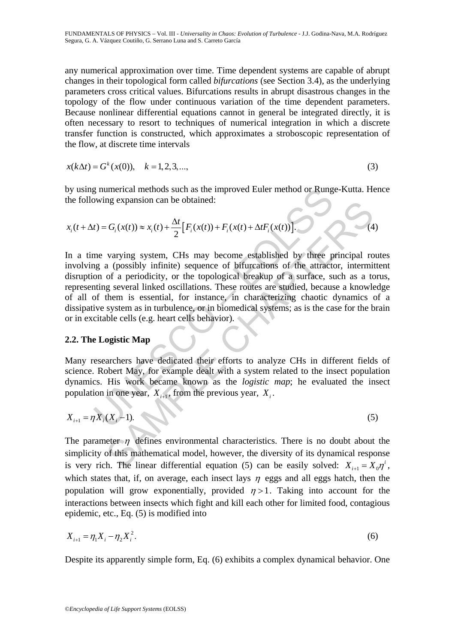any numerical approximation over time. Time dependent systems are capable of abrupt changes in their topological form called *bifurcations* (see Section 3.4), as the underlying parameters cross critical values. Bifurcations results in abrupt disastrous changes in the topology of the flow under continuous variation of the time dependent parameters. Because nonlinear differential equations cannot in general be integrated directly, it is often necessary to resort to techniques of numerical integration in which a discrete transfer function is constructed, which approximates a stroboscopic representation of the flow, at discrete time intervals

$$
x(k\Delta t) = G^{k}(x(0)), \quad k = 1, 2, 3, \dots,
$$
\n(3)

by using numerical methods such as the improved Euler method or Runge-Kutta. Hence the following expansion can be obtained:

$$
x_i(t + \Delta t) = G_i(x(t)) \approx x_i(t) + \frac{\Delta t}{2} [F_i(x(t)) + F_i(x(t) + \Delta t F_i(x(t)))].
$$
 (4)

g numerical methods such as the improved Euler method or Rung<br>wing expansion can be obtained:<br>  $t) = G_i(x(t)) \approx x_i(t) + \frac{\Delta t}{2} [F_i(x(t)) + F_i(x(t) + \Delta t F_i(x(t)))]$ .<br>
The varying system, CHs may become established by three p<br>
g a (possibly inf Eq.  $G_i(x(t)) \approx x_i(t) + \frac{\Delta t}{2} [F_i(x(t)) + F_i(x(t) + \Delta t F_i(x(t)))]$ .<br>
varying system, CHs may become established by three principal road varying system, CHs may become established by three principal road a prosibly infinite) sequence of bif In a time varying system, CHs may become established by three principal routes involving a (possibly infinite) sequence of bifurcations of the attractor, intermittent disruption of a periodicity, or the topological breakup of a surface, such as a torus, representing several linked oscillations. These routes are studied, because a knowledge of all of them is essential, for instance, in characterizing chaotic dynamics of a dissipative system as in turbulence, or in biomedical systems; as is the case for the brain or in excitable cells (e.g. heart cells behavior).

### **2.2. The Logistic Map**

Many researchers have dedicated their efforts to analyze CHs in different fields of science. Robert May, for example dealt with a system related to the insect population dynamics. His work became known as the *logistic map*; he evaluated the insect population in one year,  $X_{i+1}$ , from the previous year,  $X_i$ .

$$
X_{i+1} = \eta X_i (X_i - 1). \tag{5}
$$

The parameter  $\eta$  defines environmental characteristics. There is no doubt about the simplicity of this mathematical model, however, the diversity of its dynamical response is very rich. The linear differential equation (5) can be easily solved:  $X_{i+1} = X_0 \eta^i$ , which states that, if, on average, each insect lays  $\eta$  eggs and all eggs hatch, then the population will grow exponentially, provided  $\eta > 1$ . Taking into account for the interactions between insects which fight and kill each other for limited food, contagious epidemic, etc., Eq. (5) is modified into

$$
X_{i+1} = \eta_1 X_i - \eta_2 X_i^2. \tag{6}
$$

Despite its apparently simple form, Eq. (6) exhibits a complex dynamical behavior. One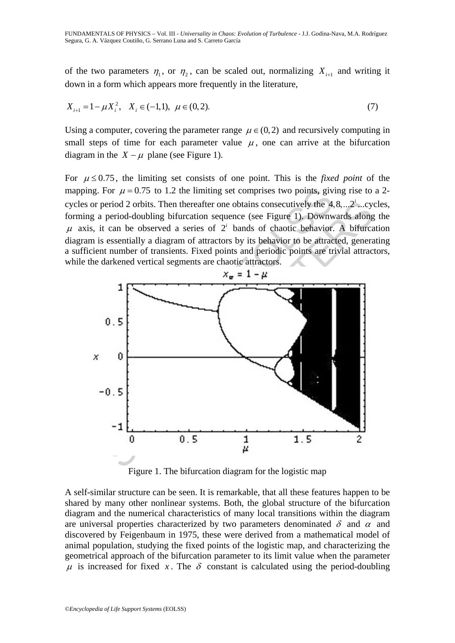of the two parameters  $\eta_1$ , or  $\eta_2$ , can be scaled out, normalizing  $X_{i+1}$  and writing it down in a form which appears more frequently in the literature,

$$
X_{i+1} = 1 - \mu X_i^2, \quad X_i \in (-1, 1), \ \mu \in (0, 2). \tag{7}
$$

Using a computer, covering the parameter range  $\mu \in (0, 2)$  and recursively computing in small steps of time for each parameter value  $\mu$ , one can arrive at the bifurcation diagram in the  $X - \mu$  plane (see Figure 1).

For  $\mu \leq 0.75$ , the limiting set consists of one point. This is the *fixed point* of the mapping. For  $\mu = 0.75$  to 1.2 the limiting set comprises two points, giving rise to a 2cycles or period 2 orbits. Then thereafter one obtains consecutively the  $4, 8, \ldots, 2<sup>i</sup>$  ...cycles, forming a period-doubling bifurcation sequence (see Figure 1). Downwards along the  $\mu$  axis, it can be observed a series of  $2<sup>i</sup>$  bands of chaotic behavior. A bifurcation diagram is essentially a diagram of attractors by its behavior to be attracted, generating a sufficient number of transients. Fixed points and periodic points are trivial attractors, while the darkened vertical segments are chaotic attractors.



Figure 1. The bifurcation diagram for the logistic map

A self-similar structure can be seen. It is remarkable, that all these features happen to be shared by many other nonlinear systems. Both, the global structure of the bifurcation diagram and the numerical characteristics of many local transitions within the diagram are universal properties characterized by two parameters denominated  $\delta$  and  $\alpha$  and discovered by Feigenbaum in 1975, these were derived from a mathematical model of animal population, studying the fixed points of the logistic map, and characterizing the geometrical approach of the bifurcation parameter to its limit value when the parameter  $\mu$  is increased for fixed *x*. The  $\delta$  constant is calculated using the period-doubling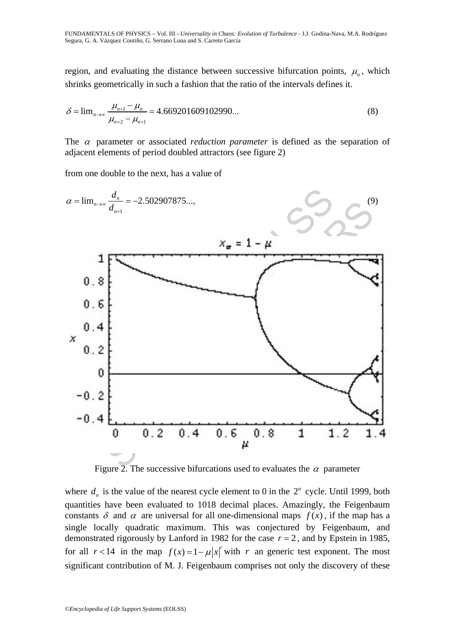FUNDAMENTALS OF PHYSICS – Vol. III - *Universality in Chaos: Evolution of Turbulence* - J.J. Godina-Nava, M.A. Rodríguez Segura, G. A. Vázquez Coutiño, G. Serrano Luna and S. Carreto García

region, and evaluating the distance between successive bifurcation points,  $\mu_n$ , which shrinks geometrically in such a fashion that the ratio of the intervals defines it.

$$
\delta = \lim_{n \to \infty} \frac{\mu_{n+1} - \mu_n}{\mu_{n+2} - \mu_{n+1}} = 4.669201609102990... \tag{8}
$$

The  $\alpha$  parameter or associated *reduction parameter* is defined as the separation of adjacent elements of period doubled attractors (see figure 2)

from one double to the next, has a value of



Figure 2. The successive bifurcations used to evaluates the  $\alpha$  parameter

where  $d_n$  is the value of the nearest cycle element to 0 in the  $2^n$  cycle. Until 1999, both quantities have been evaluated to 1018 decimal places. Amazingly, the Feigenbaum constants  $\delta$  and  $\alpha$  are universal for all one-dimensional maps  $f(x)$ , if the map has a single locally quadratic maximum. This was conjectured by Feigenbaum, and demonstrated rigorously by Lanford in 1982 for the case  $r = 2$ , and by Epstein in 1985, for all  $r < 14$  in the map  $f(x) = 1 - \mu |x|$  with *r* an generic test exponent. The most significant contribution of M. J. Feigenbaum comprises not only the discovery of these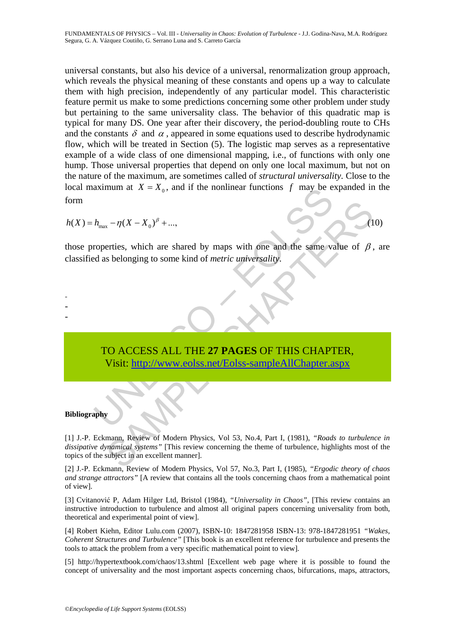universal constants, but also his device of a universal, renormalization group approach, which reveals the physical meaning of these constants and opens up a way to calculate them with high precision, independently of any particular model. This characteristic feature permit us make to some predictions concerning some other problem under study but pertaining to the same universality class. The behavior of this quadratic map is typical for many DS. One year after their discovery, the period-doubling route to CHs and the constants  $\delta$  and  $\alpha$ , appeared in some equations used to describe hydrodynamic flow, which will be treated in Section (5). The logistic map serves as a representative example of a wide class of one dimensional mapping, i.e., of functions with only one hump. Those universal properties that depend on only one local maximum, but not on the nature of the maximum, are sometimes called of *structural universality*. Close to the local maximum at  $X = X_0$ , and if the nonlinear functions f may be expanded in the form

 $h(X) = h_{\text{max}} - \eta (X - X_0)^{\beta} + \dots,$  (10)

those properties, which are shared by maps with one and the same value of  $\beta$ , are classified as belonging to some kind of *metric universality*.

# aximum at  $X = X_0$ , and if the nonlinear functions  $\hat{J}$  may be e<br>  $h_{\text{max}} - \eta (X - X_0)^{\beta} + ...$ ,<br>
roperties, which are shared by maps with one and the same variable as belonging to some kind of *metric universality*.<br>
TO ACC TO ACCESS ALL THE **27 PAGES** OF THIS CHAPTER, Visit: http://www.eolss.net/Eolss-sampleAllChapter.aspx

### **Bibliography**

- - -

SAMP[LE C](https://www.eolss.net/ebooklib/sc_cart.aspx?File=E6-06B-05-04)HAPTERS [1] J.-P. Eckmann, Review of Modern Physics, Vol 53, No.4, Part I, (1981), *"Roads to turbulence in dissipative dynamical systems"* [This review concerning the theme of turbulence, highlights most of the topics of the subject in an excellent manner].

[2] J.-P. Eckmann, Review of Modern Physics, Vol 57, No.3, Part I, (1985), *"Ergodic theory of chaos and strange attractors"* [A review that contains all the tools concerning chaos from a mathematical point of view].

[3] Cvitanović P, Adam Hilger Ltd, Bristol (1984), *"Universality in Chaos"*, [This review contains an instructive introduction to turbulence and almost all original papers concerning universality from both, theoretical and experimental point of view].

[4] Robert Kiehn, Editor Lulu.com (2007), ISBN-10: 1847281958 ISBN-13: 978-1847281951 *"Wakes, Coherent Structures and Turbulence"* [This book is an excellent reference for turbulence and presents the tools to attack the problem from a very specific mathematical point to view].

[5] http://hypertextbook.com/chaos/13.shtml [Excellent web page where it is possible to found the concept of universality and the most important aspects concerning chaos, bifurcations, maps, attractors,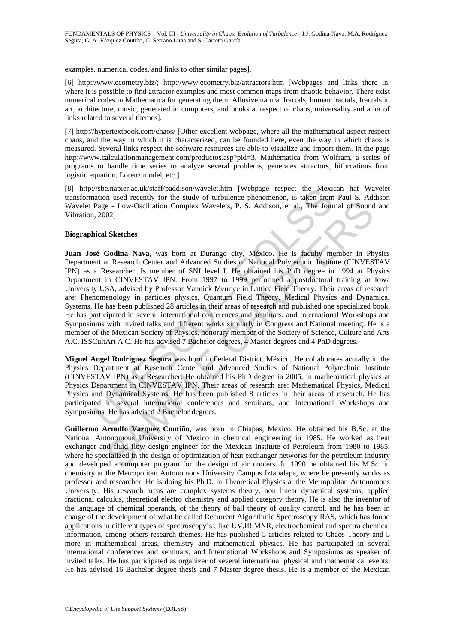examples, numerical codes, and links to other similar pages].

[6] http://www.ecometry.biz/; http://www.ecometry.biz/attractors.htm [Webpages and links there in, where it is possible to find attractor examples and most common maps from chaotic behavior. There exist numerical codes in Mathematica for generating them. Allusive natural fractals, human fractals, fractals in art, architecture, music, generated in computers, and books at respect of chaos, universality and a lot of links related to several themes].

[7] http://hypertextbook.com/chaos/ [Other excellent webpage, where all the mathematical aspect respect chaos, and the way in which it is characterized, can be founded here, even the way in which chaos is measured. Several links respect the software resources are able to visualize and import them. In the page http://www.calculationmanagement.com/productos.asp?pid=3, Mathematica from Wolfram, a series of programs to handle time series to analyze several problems, generates attractors, bifurcations from logistic equation, Lorenz model, etc.]

[8] http://sbe.napier.ac.uk/staff/paddison/wavelet.htm [Webpage respect the Mexican hat Wavelet transformation used recently for the study of turbulence phenomenon, is taken from Paul S. Addison Wavelet Page - Low-Oscillation Complex Wavelets, P. S. Addison, et al., The Journal of Sound and Vibration, 2002]

### **Biographical Sketches**

(Asie. napier.ac.uk/staft/paddison/wavelet.htm [Webpage respect the Mexicution used recently for the study of turbulence phenomenon, it staken from<br>Page - Low-Oscillation Complex Wavelets, P. S. Addison, et al., The Jour<br> e - Low-Oscillation Complex Wavelets, P. S. Addison, et al., The Journal of Sound<br>02]<br>e - Low-Oscillation Complex Wavelets, P. S. Addison, et al., The Journal of Sound<br>02]<br>Sketches<br>Godina Nava, was born at Durango city, Mé **Juan José Godina Nava**, was born at Durango city, México. He is faculty member in Physics Department at Research Center and Advanced Studies of National Polytechnic Institute (CINVESTAV IPN) as a Researcher. Is member of SNI level I. He obtained his PhD degree in 1994 at Physics Department in CINVESTAV IPN. From 1997 to 1999 performed a postdoctoral training at Iowa University USA, advised by Professor Yannick Meurice in Lattice Field Theory. Their areas of research are: Phenomenology in particles physics, Quantum Field Theory, Medical Physics and Dynamical Systems. He has been published 28 articles in their areas of research and published one specialized book. He has participated in several international conferences and seminars, and International Workshops and Symposiums with invited talks and different works similarly in Congress and National meeting. He is a member of the Mexican Society of Physics, honorary member of the Society of Science, Culture and Arts A.C. ISSCultArt A.C. He has advised 7 Bachelor degrees, 4 Master degrees and 4 PhD degrees.

**Miguel Angel Rodríguez Segura** was born in Federal District, México. He collaborates actually in the Physics Department at Research Center and Advanced Studies of National Polytechnic Institute (CINVESTAV IPN) as a Researcher. He obtained his PhD degree in 2005, in mathematical physics at Physics Department in CINVESTAV IPN. Their areas of research are: Mathematical Physics, Medical Physics and Dynamical Systems. He has been published 8 articles in their areas of research. He has participated in several international conferences and seminars, and International Workshops and Symposiums. He has advised 2 Bachelor degrees.

**Guillermo Arnulfo Vazquez Coutiño**, was born in Chiapas, Mexico. He obtained his B.Sc. at the National Autonomous University of Mexico in chemical engineering in 1985. He worked as heat exchanger and fluid flow design engineer for the Mexican Institute of Petroleum from 1980 to 1985, where he specialized in the design of optimization of heat exchanger networks for the petroleum industry and developed a computer program for the design of air coolers. In 1990 he obtained his M.Sc. in chemistry at the Metropolitan Autonomous University Campus Iztapalapa, where he presently works as professor and researcher. He is doing his Ph.D. in Theoretical Physics at the Metropolitan Autonomous University. His research areas are complex systems theory, non linear dynamical systems, applied fractional calculus, theoretical electro chemistry and applied category theory. He is also the inventor of the language of chemical operands, of the theory of ball theory of quality control, and he has been in charge of the development of what he called Recurrent Algorithmic Spectroscopy RAS, which has found applications in different types of spectroscopy's , like UV,IR,MNR, electrochemical and spectra chemical information, among others research themes. He has published 5 articles related to Chaos Theory and 5 more in mathematical areas, chemistry and mathematical physics. He has participated in several international conferences and seminars, and International Workshops and Symposiums as speaker of invited talks. He has participated as organizer of several international physical and mathematical events. He has advised 16 Bachelor degree thesis and 7 Master degree thesis. He is a member of the Mexican